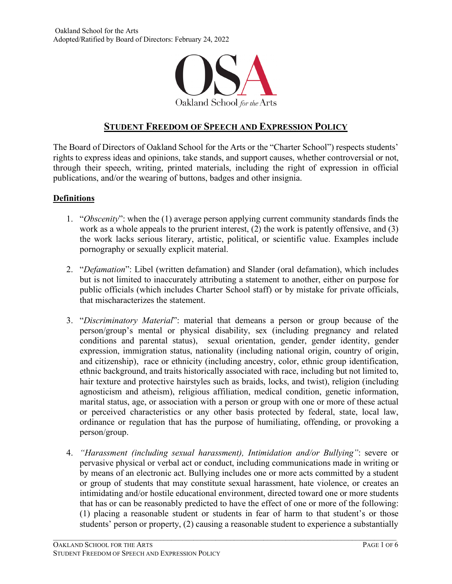

# **STUDENT FREEDOM OF SPEECH AND EXPRESSION POLICY**

The Board of Directors of Oakland School for the Arts or the "Charter School") respects students' rights to express ideas and opinions, take stands, and support causes, whether controversial or not, through their speech, writing, printed materials, including the right of expression in official publications, and/or the wearing of buttons, badges and other insignia.

## **Definitions**

- 1. "*Obscenity*": when the (1) average person applying current community standards finds the work as a whole appeals to the prurient interest, (2) the work is patently offensive, and (3) the work lacks serious literary, artistic, political, or scientific value. Examples include pornography or sexually explicit material.
- 2. "*Defamation*": Libel (written defamation) and Slander (oral defamation), which includes but is not limited to inaccurately attributing a statement to another, either on purpose for public officials (which includes Charter School staff) or by mistake for private officials, that mischaracterizes the statement.
- 3. "*Discriminatory Material*": material that demeans a person or group because of the person/group's mental or physical disability, sex (including pregnancy and related conditions and parental status), sexual orientation, gender, gender identity, gender expression, immigration status, nationality (including national origin, country of origin, and citizenship), race or ethnicity (including ancestry, color, ethnic group identification, ethnic background, and traits historically associated with race, including but not limited to, hair texture and protective hairstyles such as braids, locks, and twist), religion (including agnosticism and atheism), religious affiliation, medical condition, genetic information, marital status, age, or association with a person or group with one or more of these actual or perceived characteristics or any other basis protected by federal, state, local law, ordinance or regulation that has the purpose of humiliating, offending, or provoking a person/group.
- 4. *"Harassment (including sexual harassment), Intimidation and/or Bullying"*: severe or pervasive physical or verbal act or conduct, including communications made in writing or by means of an electronic act. Bullying includes one or more acts committed by a student or group of students that may constitute sexual harassment, hate violence, or creates an intimidating and/or hostile educational environment, directed toward one or more students that has or can be reasonably predicted to have the effect of one or more of the following: (1) placing a reasonable student or students in fear of harm to that student's or those students' person or property, (2) causing a reasonable student to experience a substantially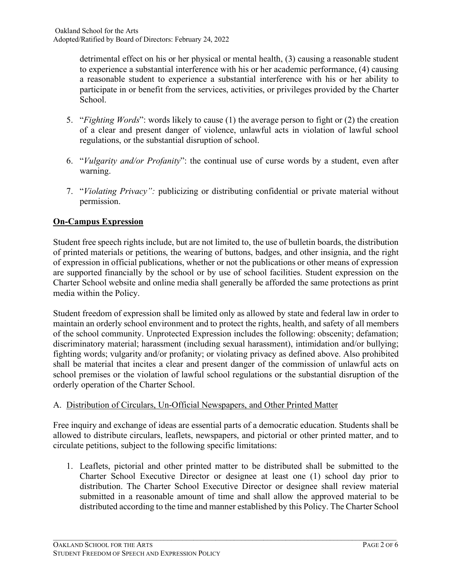detrimental effect on his or her physical or mental health, (3) causing a reasonable student to experience a substantial interference with his or her academic performance, (4) causing a reasonable student to experience a substantial interference with his or her ability to participate in or benefit from the services, activities, or privileges provided by the Charter School.

- 5. "*Fighting Words*": words likely to cause (1) the average person to fight or (2) the creation of a clear and present danger of violence, unlawful acts in violation of lawful school regulations, or the substantial disruption of school.
- 6. "*Vulgarity and/or Profanity*": the continual use of curse words by a student, even after warning.
- 7. "*Violating Privacy":* publicizing or distributing confidential or private material without permission.

# **On-Campus Expression**

Student free speech rights include, but are not limited to, the use of bulletin boards, the distribution of printed materials or petitions, the wearing of buttons, badges, and other insignia, and the right of expression in official publications, whether or not the publications or other means of expression are supported financially by the school or by use of school facilities. Student expression on the Charter School website and online media shall generally be afforded the same protections as print media within the Policy.

Student freedom of expression shall be limited only as allowed by state and federal law in order to maintain an orderly school environment and to protect the rights, health, and safety of all members of the school community. Unprotected Expression includes the following: obscenity; defamation; discriminatory material; harassment (including sexual harassment), intimidation and/or bullying; fighting words; vulgarity and/or profanity; or violating privacy as defined above. Also prohibited shall be material that incites a clear and present danger of the commission of unlawful acts on school premises or the violation of lawful school regulations or the substantial disruption of the orderly operation of the Charter School.

# A. Distribution of Circulars, Un-Official Newspapers, and Other Printed Matter

Free inquiry and exchange of ideas are essential parts of a democratic education. Students shall be allowed to distribute circulars, leaflets, newspapers, and pictorial or other printed matter, and to circulate petitions, subject to the following specific limitations:

1. Leaflets, pictorial and other printed matter to be distributed shall be submitted to the Charter School Executive Director or designee at least one (1) school day prior to distribution. The Charter School Executive Director or designee shall review material submitted in a reasonable amount of time and shall allow the approved material to be distributed according to the time and manner established by this Policy. The Charter School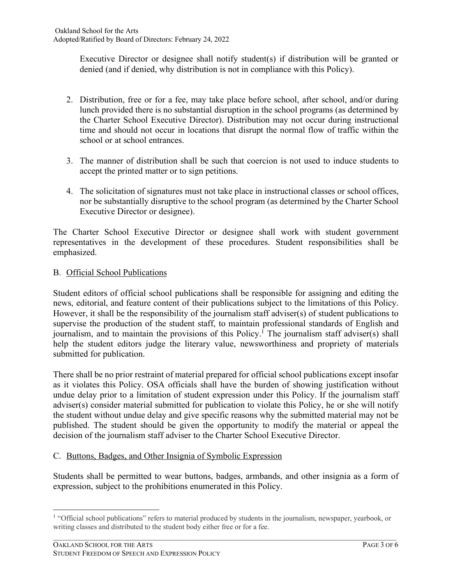Executive Director or designee shall notify student(s) if distribution will be granted or denied (and if denied, why distribution is not in compliance with this Policy).

- 2. Distribution, free or for a fee, may take place before school, after school, and/or during lunch provided there is no substantial disruption in the school programs (as determined by the Charter School Executive Director). Distribution may not occur during instructional time and should not occur in locations that disrupt the normal flow of traffic within the school or at school entrances.
- 3. The manner of distribution shall be such that coercion is not used to induce students to accept the printed matter or to sign petitions.
- 4. The solicitation of signatures must not take place in instructional classes or school offices, nor be substantially disruptive to the school program (as determined by the Charter School Executive Director or designee).

The Charter School Executive Director or designee shall work with student government representatives in the development of these procedures. Student responsibilities shall be emphasized.

# B. Official School Publications

Student editors of official school publications shall be responsible for assigning and editing the news, editorial, and feature content of their publications subject to the limitations of this Policy. However, it shall be the responsibility of the journalism staff adviser(s) of student publications to supervise the production of the student staff, to maintain professional standards of English and journalism, and to maintain the provisions of this Policy. <sup>1</sup> The journalism staff adviser(s) shall help the student editors judge the literary value, newsworthiness and propriety of materials submitted for publication.

There shall be no prior restraint of material prepared for official school publications except insofar as it violates this Policy. OSA officials shall have the burden of showing justification without undue delay prior to a limitation of student expression under this Policy. If the journalism staff adviser(s) consider material submitted for publication to violate this Policy, he or she will notify the student without undue delay and give specific reasons why the submitted material may not be published. The student should be given the opportunity to modify the material or appeal the decision of the journalism staff adviser to the Charter School Executive Director.

## C. Buttons, Badges, and Other Insignia of Symbolic Expression

Students shall be permitted to wear buttons, badges, armbands, and other insignia as a form of expression, subject to the prohibitions enumerated in this Policy.

 $\mathcal{L}_\mathcal{L} = \{ \mathcal{L}_\mathcal{L} = \{ \mathcal{L}_\mathcal{L} = \{ \mathcal{L}_\mathcal{L} = \{ \mathcal{L}_\mathcal{L} = \{ \mathcal{L}_\mathcal{L} = \{ \mathcal{L}_\mathcal{L} = \{ \mathcal{L}_\mathcal{L} = \{ \mathcal{L}_\mathcal{L} = \{ \mathcal{L}_\mathcal{L} = \{ \mathcal{L}_\mathcal{L} = \{ \mathcal{L}_\mathcal{L} = \{ \mathcal{L}_\mathcal{L} = \{ \mathcal{L}_\mathcal{L} = \{ \mathcal{L}_\mathcal{$ <sup>1</sup> "Official school publications" refers to material produced by students in the journalism, newspaper, yearbook, or writing classes and distributed to the student body either free or for a fee.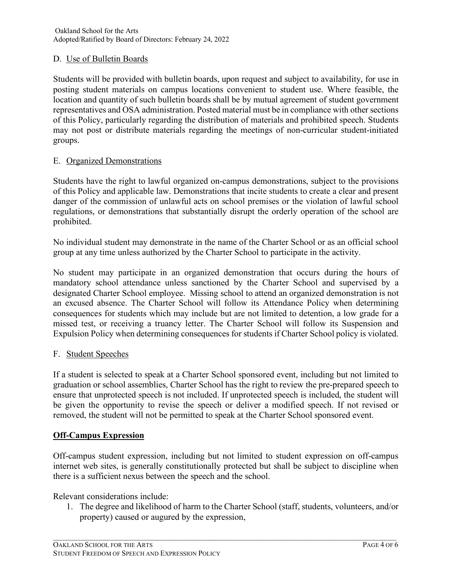# D. Use of Bulletin Boards

Students will be provided with bulletin boards, upon request and subject to availability, for use in posting student materials on campus locations convenient to student use. Where feasible, the location and quantity of such bulletin boards shall be by mutual agreement of student government representatives and OSA administration. Posted material must be in compliance with other sections of this Policy, particularly regarding the distribution of materials and prohibited speech. Students may not post or distribute materials regarding the meetings of non-curricular student-initiated groups.

## E. Organized Demonstrations

Students have the right to lawful organized on-campus demonstrations, subject to the provisions of this Policy and applicable law. Demonstrations that incite students to create a clear and present danger of the commission of unlawful acts on school premises or the violation of lawful school regulations, or demonstrations that substantially disrupt the orderly operation of the school are prohibited.

No individual student may demonstrate in the name of the Charter School or as an official school group at any time unless authorized by the Charter School to participate in the activity.

No student may participate in an organized demonstration that occurs during the hours of mandatory school attendance unless sanctioned by the Charter School and supervised by a designated Charter School employee. Missing school to attend an organized demonstration is not an excused absence. The Charter School will follow its Attendance Policy when determining consequences for students which may include but are not limited to detention, a low grade for a missed test, or receiving a truancy letter. The Charter School will follow its Suspension and Expulsion Policy when determining consequences for students if Charter School policy is violated.

## F. Student Speeches

If a student is selected to speak at a Charter School sponsored event, including but not limited to graduation or school assemblies, Charter School has the right to review the pre-prepared speech to ensure that unprotected speech is not included. If unprotected speech is included, the student will be given the opportunity to revise the speech or deliver a modified speech. If not revised or removed, the student will not be permitted to speak at the Charter School sponsored event.

## **Off-Campus Expression**

Off-campus student expression, including but not limited to student expression on off-campus internet web sites, is generally constitutionally protected but shall be subject to discipline when there is a sufficient nexus between the speech and the school.

Relevant considerations include:

1. The degree and likelihood of harm to the Charter School (staff, students, volunteers, and/or property) caused or augured by the expression,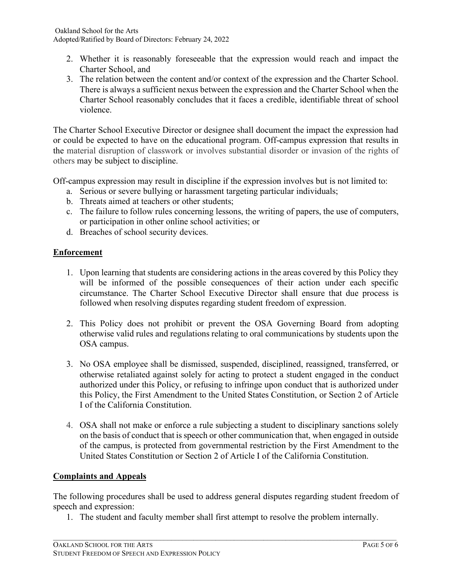- 2. Whether it is reasonably foreseeable that the expression would reach and impact the Charter School, and
- 3. The relation between the content and/or context of the expression and the Charter School. There is always a sufficient nexus between the expression and the Charter School when the Charter School reasonably concludes that it faces a credible, identifiable threat of school violence.

The Charter School Executive Director or designee shall document the impact the expression had or could be expected to have on the educational program. Off-campus expression that results in the material disruption of classwork or involves substantial disorder or invasion of the rights of others may be subject to discipline.

Off-campus expression may result in discipline if the expression involves but is not limited to:

- a. Serious or severe bullying or harassment targeting particular individuals;
- b. Threats aimed at teachers or other students;
- c. The failure to follow rules concerning lessons, the writing of papers, the use of computers, or participation in other online school activities; or
- d. Breaches of school security devices.

# **Enforcement**

- 1. Upon learning that students are considering actions in the areas covered by this Policy they will be informed of the possible consequences of their action under each specific circumstance. The Charter School Executive Director shall ensure that due process is followed when resolving disputes regarding student freedom of expression.
- 2. This Policy does not prohibit or prevent the OSA Governing Board from adopting otherwise valid rules and regulations relating to oral communications by students upon the OSA campus.
- 3. No OSA employee shall be dismissed, suspended, disciplined, reassigned, transferred, or otherwise retaliated against solely for acting to protect a student engaged in the conduct authorized under this Policy, or refusing to infringe upon conduct that is authorized under this Policy, the First Amendment to the United States Constitution, or Section 2 of Article I of the California Constitution.
- 4. OSA shall not make or enforce a rule subjecting a student to disciplinary sanctions solely on the basis of conduct that is speech or other communication that, when engaged in outside of the campus, is protected from governmental restriction by the First Amendment to the United States Constitution or Section 2 of Article I of the California Constitution.

## **Complaints and Appeals**

The following procedures shall be used to address general disputes regarding student freedom of speech and expression:

1. The student and faculty member shall first attempt to resolve the problem internally.